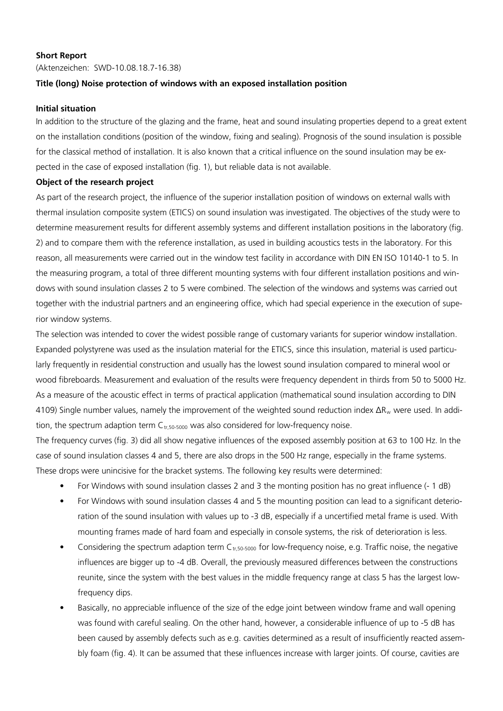### **Short Report**

(Aktenzeichen: SWD-10.08.18.7-16.38)

## **Title (long) Noise protection of windows with an exposed installation position**

#### **Initial situation**

In addition to the structure of the glazing and the frame, heat and sound insulating properties depend to a great extent on the installation conditions (position of the window, fixing and sealing). Prognosis of the sound insulation is possible for the classical method of installation. It is also known that a critical influence on the sound insulation may be expected in the case of exposed installation (fig. 1), but reliable data is not available.

### **Object of the research project**

As part of the research project, the influence of the superior installation position of windows on external walls with thermal insulation composite system (ETICS) on sound insulation was investigated. The objectives of the study were to determine measurement results for different assembly systems and different installation positions in the laboratory (fig. 2) and to compare them with the reference installation, as used in building acoustics tests in the laboratory. For this reason, all measurements were carried out in the window test facility in accordance with DIN EN ISO 10140-1 to 5. In the measuring program, a total of three different mounting systems with four different installation positions and windows with sound insulation classes 2 to 5 were combined. The selection of the windows and systems was carried out together with the industrial partners and an engineering office, which had special experience in the execution of superior window systems.

The selection was intended to cover the widest possible range of customary variants for superior window installation. Expanded polystyrene was used as the insulation material for the ETICS, since this insulation, material is used particularly frequently in residential construction and usually has the lowest sound insulation compared to mineral wool or wood fibreboards. Measurement and evaluation of the results were frequency dependent in thirds from 50 to 5000 Hz. As a measure of the acoustic effect in terms of practical application (mathematical sound insulation according to DIN 4109) Single number values, namely the improvement of the weighted sound reduction index  $\Delta R_w$  were used. In addition, the spectrum adaption term  $C_{tr,50-5000}$  was also considered for low-frequency noise.

The frequency curves (fig. 3) did all show negative influences of the exposed assembly position at 63 to 100 Hz. In the case of sound insulation classes 4 and 5, there are also drops in the 500 Hz range, especially in the frame systems. These drops were unincisive for the bracket systems. The following key results were determined:

- For Windows with sound insulation classes 2 and 3 the monting position has no great influence (- 1 dB)
- For Windows with sound insulation classes 4 and 5 the mounting position can lead to a significant deterioration of the sound insulation with values up to -3 dB, especially if a uncertified metal frame is used. With mounting frames made of hard foam and especially in console systems, the risk of deterioration is less.
- Considering the spectrum adaption term  $C_{tr,50-5000}$  for low-frequency noise, e.g. Traffic noise, the negative influences are bigger up to -4 dB. Overall, the previously measured differences between the constructions reunite, since the system with the best values in the middle frequency range at class 5 has the largest lowfrequency dips.
- Basically, no appreciable influence of the size of the edge joint between window frame and wall opening was found with careful sealing. On the other hand, however, a considerable influence of up to -5 dB has been caused by assembly defects such as e.g. cavities determined as a result of insufficiently reacted assembly foam (fig. 4). It can be assumed that these influences increase with larger joints. Of course, cavities are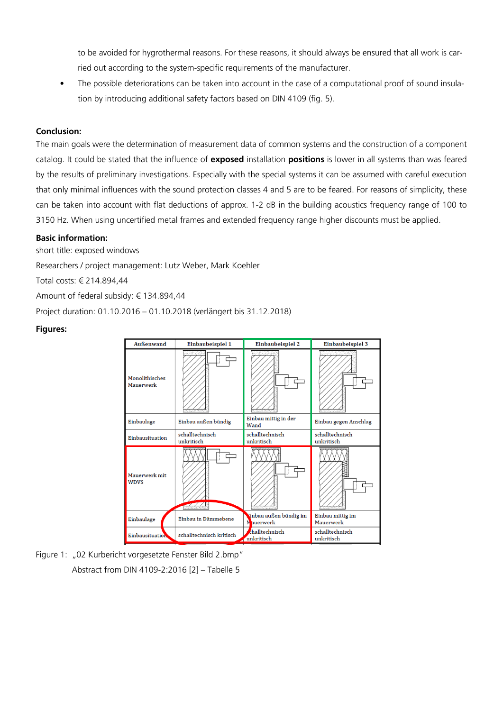to be avoided for hygrothermal reasons. For these reasons, it should always be ensured that all work is carried out according to the system-specific requirements of the manufacturer.

• The possible deteriorations can be taken into account in the case of a computational proof of sound insulation by introducing additional safety factors based on DIN 4109 (fig. 5).

# **Conclusion:**

The main goals were the determination of measurement data of common systems and the construction of a component catalog. It could be stated that the influence of **exposed** installation **positions** is lower in all systems than was feared by the results of preliminary investigations. Especially with the special systems it can be assumed with careful execution that only minimal influences with the sound protection classes 4 and 5 are to be feared. For reasons of simplicity, these can be taken into account with flat deductions of approx. 1-2 dB in the building acoustics frequency range of 100 to 3150 Hz. When using uncertified metal frames and extended frequency range higher discounts must be applied.

#### **Basic information:**

short title: exposed windows

Researchers / project management: Lutz Weber, Mark Koehler

Total costs: € 214.894,44

Amount of federal subsidy: € 134.894,44

Project duration: 01.10.2016 – 01.10.2018 (verlängert bis 31.12.2018)

#### **Figures:**



Figure 1: "02 Kurbericht vorgesetzte Fenster Bild 2.bmp" Abstract from DIN 4109-2:2016 [2] – Tabelle 5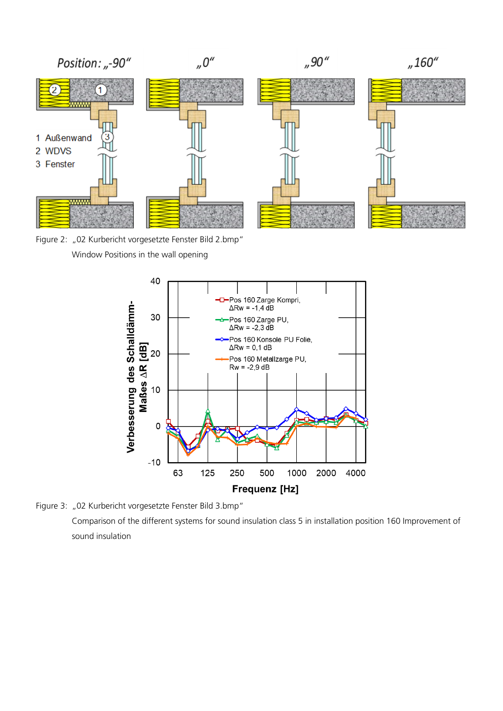

Window Positions in the wall opening